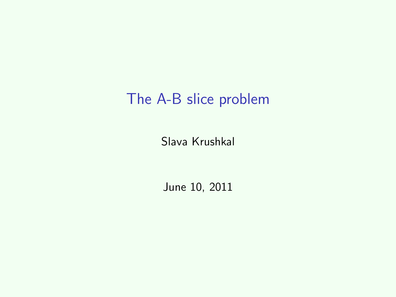# The A-B slice problem

Slava Krushkal

June 10, 2011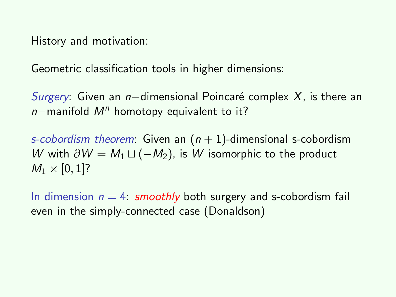History and motivation:

Geometric classification tools in higher dimensions:

Surgery: Given an n–dimensional Poincaré complex  $X$ , is there an  $n$ −manifold  $M<sup>n</sup>$  homotopy equivalent to it?

s-cobordism theorem: Given an  $(n + 1)$ -dimensional s-cobordism W with  $\partial W = M_1 \sqcup (-M_2)$ , is W isomorphic to the product  $M_1 \times [0, 1]$ ?

In dimension  $n = 4$ : smoothly both surgery and s-cobordism fail even in the simply-connected case (Donaldson)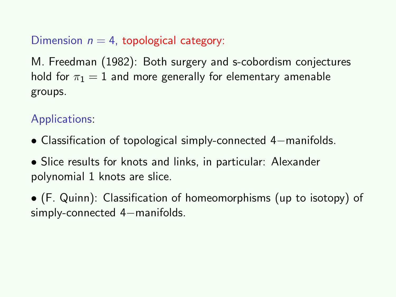#### Dimension  $n = 4$ , topological category:

M. Freedman (1982): Both surgery and s-cobordism conjectures hold for  $\pi_1 = 1$  and more generally for elementary amenable groups.

## Applications:

- Classification of topological simply-connected 4−manifolds.
- Slice results for knots and links, in particular: Alexander polynomial 1 knots are slice.
- (F. Quinn): Classification of homeomorphisms (up to isotopy) of simply-connected 4–manifolds.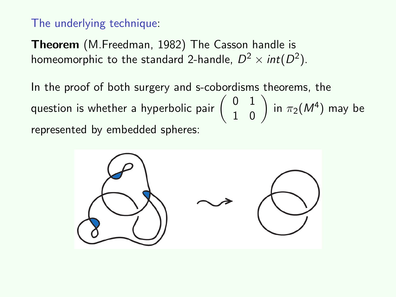### The underlying technique:

Theorem (M.Freedman, 1982) The Casson handle is homeomorphic to the standard 2-handle,  $D^2 \times \mathit{int}(D^2).$ 

In the proof of both surgery and s-cobordisms theorems, the question is whether a hyperbolic pair  $\left(\begin{array}{cc} 0 & 1 \\ 1 & 0 \end{array}\right)$  in  $\pi_2(M^4)$  may be represented by embedded spheres:

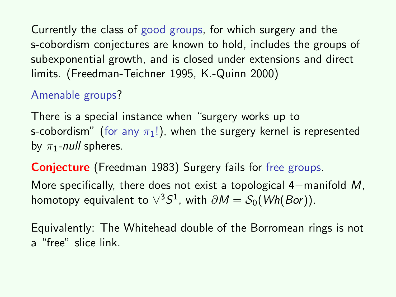Currently the class of good groups, for which surgery and the s-cobordism conjectures are known to hold, includes the groups of subexponential growth, and is closed under extensions and direct limits. (Freedman-Teichner 1995, K.-Quinn 2000)

# Amenable groups?

There is a special instance when "surgery works up to s-cobordism" (for any  $\pi_1$ !), when the surgery kernel is represented by  $\pi_1$ -null spheres.

**Conjecture** (Freedman 1983) Surgery fails for free groups.

More specifically, there does not exist a topological 4 $-$ manifold M, homotopy equivalent to  $\vee^3S^1$ , with  $\partial M=\mathcal{S}_0(\mathit{Wh}(\mathit{Bor}))$ .

Equivalently: The Whitehead double of the Borromean rings is not a "free" slice link.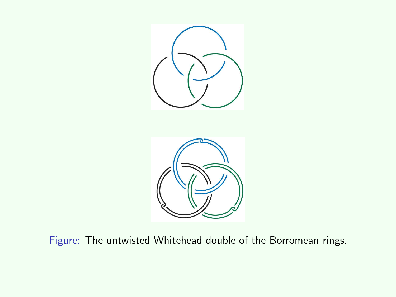



Figure: The untwisted Whitehead double of the Borromean rings.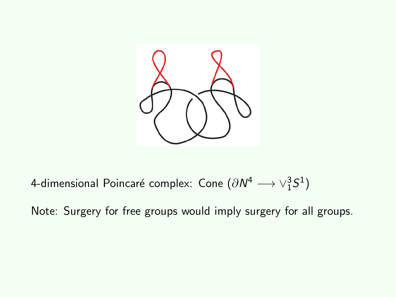

4-dimensional Poincaré complex: Cone  $(\partial N^4\longrightarrow \vee^3_1S^1)$ 

Note: Surgery for free groups would imply surgery for all groups.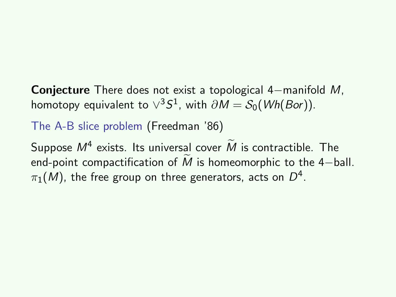Conjecture There does not exist a topological 4−manifold M, homotopy equivalent to  $\vee^3S^1$ , with  $\partial M=\mathcal{S}_0(\mathit{Wh}(\mathit{Bor}))$ .

The A-B slice problem (Freedman '86)

Suppose  $M^4$  exists. Its universal cover  $\dot{M}$  is contractible. The end-point compactification of M is homeomorphic to the 4 $-$ ball.  $\pi_1(\mathcal{M}),$  the free group on three generators, acts on  $D^4.$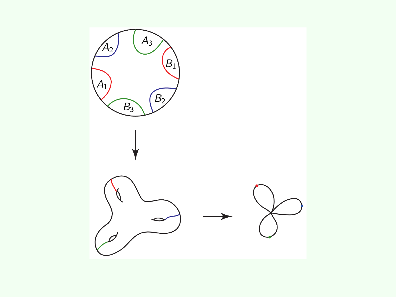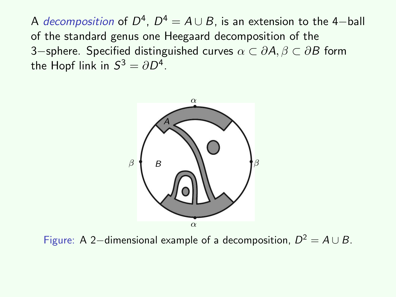A decomposition of  $D^4$ ,  $D^4 = A \cup B$ , is an extension to the 4 $-$ ball of the standard genus one Heegaard decomposition of the 3–sphere. Specified distinguished curves  $\alpha \subset \partial A$ ,  $\beta \subset \partial B$  form the Hopf link in  $S^3 = \partial D^4$ .



Figure: A 2-dimensional example of a decomposition,  $D^2 = A \cup B$ .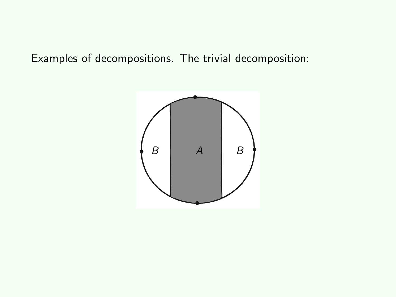Examples of decompositions. The trivial decomposition:

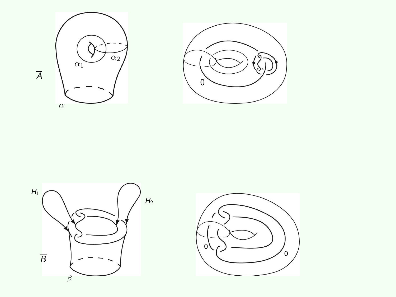





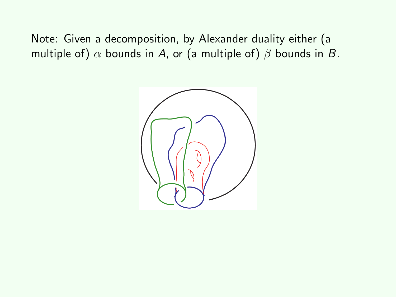Note: Given a decomposition, by Alexander duality either (a multiple of)  $\alpha$  bounds in A, or (a multiple of)  $\beta$  bounds in B.

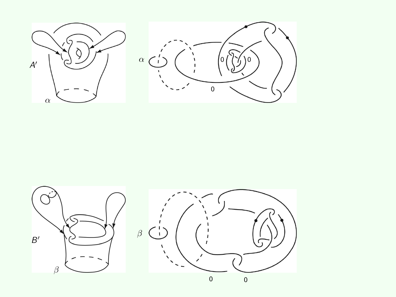

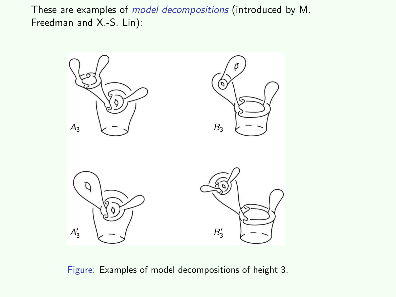These are examples of model decompositions (introduced by M. Freedman and X.-S. Lin):



Figure: Examples of model decompositions of height 3.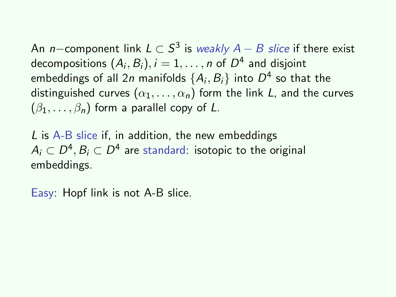An *n*—component link  $L\subset \mathcal{S}^3$  is *weakly A* —  $B$  *slice* if there exist decompositions  $(A_i,B_i), i=1,\ldots,n$  of  $D^4$  and disjoint embeddings of all 2 $n$  manifolds  $\{A_i,B_i\}$  into  $D^4$  so that the distinguished curves  $(\alpha_1, \ldots, \alpha_n)$  form the link L, and the curves  $(\beta_1, \ldots, \beta_n)$  form a parallel copy of L.

L is A-B slice if, in addition, the new embeddings  $A_i\subset D^4, B_i\subset D^4$  are standard: isotopic to the original embeddings.

Easy: Hopf link is not A-B slice.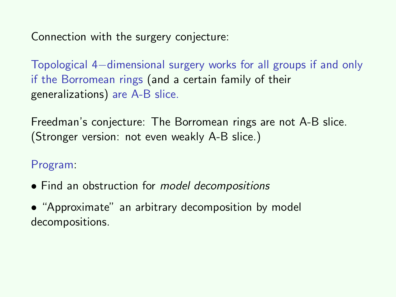Connection with the surgery conjecture:

Topological 4−dimensional surgery works for all groups if and only if the Borromean rings (and a certain family of their generalizations) are A-B slice.

Freedman's conjecture: The Borromean rings are not A-B slice. (Stronger version: not even weakly A-B slice.)

Program:

• Find an obstruction for *model decompositions* 

• "Approximate" an arbitrary decomposition by model decompositions.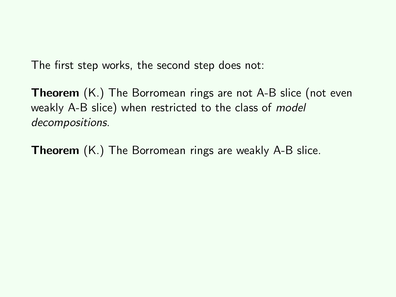The first step works, the second step does not:

Theorem (K.) The Borromean rings are not A-B slice (not even weakly A-B slice) when restricted to the class of model decompositions.

**Theorem** (K.) The Borromean rings are weakly A-B slice.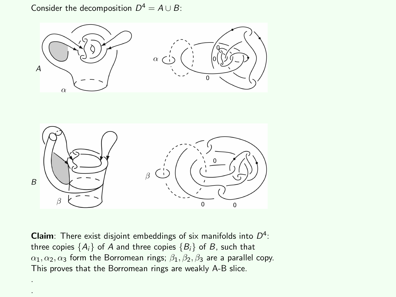Consider the decomposition  $D^4 = A \cup B$ :





**Claim**: There exist disjoint embeddings of six manifolds into  $D^4$ : three copies  $\{A_i\}$  of A and three copies  $\{B_i\}$  of B, such that  $\alpha_1, \alpha_2, \alpha_3$  form the Borromean rings;  $\beta_1, \beta_2, \beta_3$  are a parallel copy. This proves that the Borromean rings are weakly A-B slice.

. .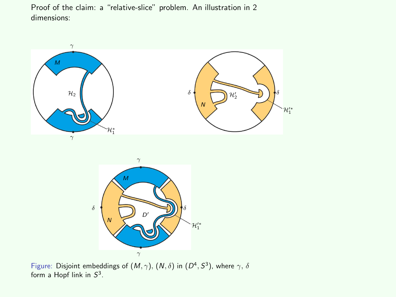Proof of the claim: a "relative-slice" problem. An illustration in 2 dimensions:





Figure: Disjoint embeddings of  $(M, \gamma)$ ,  $(N, \delta)$  in  $(D^4, S^3)$ , where  $\gamma$ ,  $\delta$ form a Hopf link in  $S^3$ .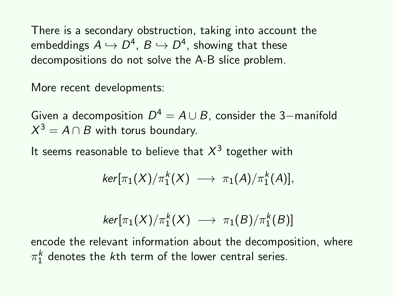There is a secondary obstruction, taking into account the embeddings  $A\hookrightarrow D^4$ ,  $B\hookrightarrow D^4$ , showing that these decompositions do not solve the A-B slice problem.

More recent developments:

Given a decomposition  $D^4 = A \cup B$ , consider the 3 $-$ manifold  $X^3 = A \cap B$  with torus boundary.

It seems reasonable to believe that  $X^3$  together with

$$
ker[\pi_1(X)/\pi_1^k(X) \longrightarrow \pi_1(A)/\pi_1^k(A)],
$$

$$
\mathit{ker}[\pi_1(X)/\pi_1^k(X) \; \longrightarrow \; \pi_1(B)/\pi_1^k(B)]
$$

encode the relevant information about the decomposition, where  $\pi_1^k$  $\frac{k}{1}$  denotes the kth term of the lower central series.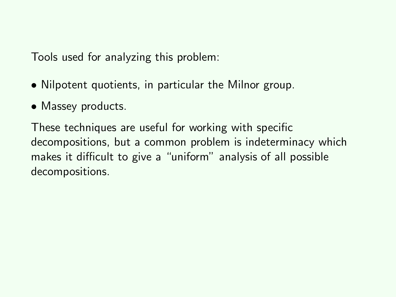Tools used for analyzing this problem:

- Nilpotent quotients, in particular the Milnor group.
- Massey products.

These techniques are useful for working with specific decompositions, but a common problem is indeterminacy which makes it difficult to give a "uniform" analysis of all possible decompositions.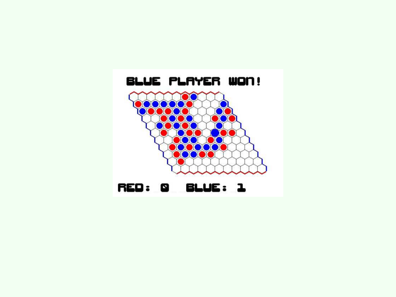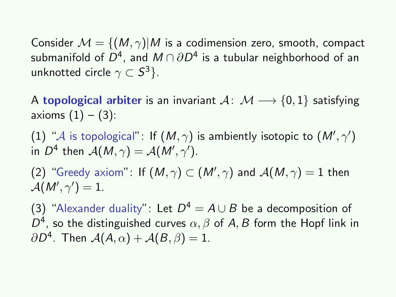Consider  $M = \{(M, \gamma) | M$  is a codimension zero, smooth, compact submanifold of  $D^4$ , and  $M \cap \partial D^4$  is a tubular neighborhood of an unknotted circle  $\gamma\subset\mathcal{S}^3\}.$ 

A topological arbiter is an invariant  $A: \mathcal{M} \longrightarrow \{0, 1\}$  satisfying axioms  $(1) - (3)$ :

(1) " ${\cal A}$  is topological": If  $(M,\gamma)$  is ambiently isotopic to  $(M',\gamma')$ in  $D^4$  then  $\mathcal{A}(M,\gamma)=\mathcal{A}(M',\gamma').$ 

(2) "Greedy axiom": If  $(M, \gamma) \subset (M', \gamma)$  and  $\mathcal{A}(M, \gamma) = 1$  then  $\mathcal{A}(M',\gamma')=1.$ 

(3) "Alexander duality": Let  $D^4 = A \cup B$  be a decomposition of  $D^4$ , so the distinguished curves  $\alpha, \beta$  of A, B form the Hopf link in  $\partial D^4$ . Then  $\mathcal{A}(A,\alpha)+\mathcal{A}(B,\beta)=1$ .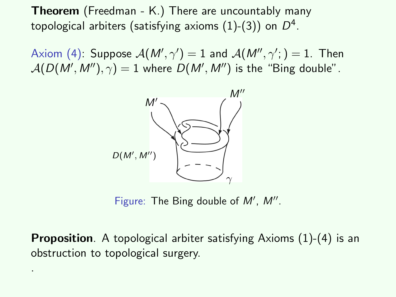**Theorem** (Freedman - K.) There are uncountably many topological arbiters (satisfying axioms (1)-(3)) on  $D^4.$ 

Axiom (4): Suppose  $\mathcal{A}(M',\gamma')=1$  and  $\mathcal{A}(M'',\gamma')=1$ . Then  $\mathcal{A}(D(M',M''),\gamma)=1$  where  $D(M',M'')$  is the "Bing double".



Figure: The Bing double of  $M'$ ,  $M''$ .

Proposition. A topological arbiter satisfying Axioms (1)-(4) is an obstruction to topological surgery.

.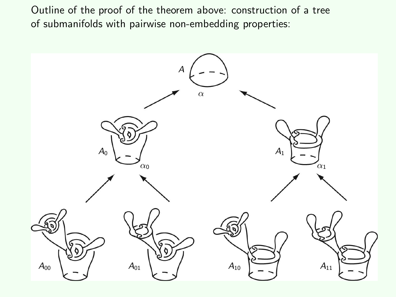Outline of the proof of the theorem above: construction of a tree of submanifolds with pairwise non-embedding properties: